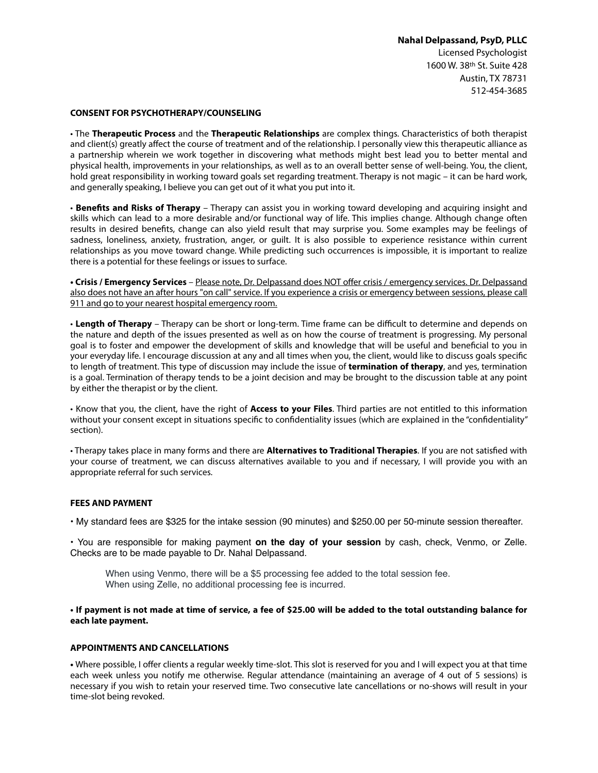## **Nahal Delpassand, PsyD, PLLC**

Licensed Psychologist 1600 W. 38th St. Suite 428 Austin, TX 78731 512-454-3685

#### **CONSENT FOR PSYCHOTHERAPY/COUNSELING**

• The **Therapeutic Process** and the **Therapeutic Relationships** are complex things. Characteristics of both therapist and client(s) greatly afect the course of treatment and of the relationship. I personally view this therapeutic alliance as a partnership wherein we work together in discovering what methods might best lead you to better mental and physical health, improvements in your relationships, as well as to an overall better sense of well-being. You, the client, hold great responsibility in working toward goals set regarding treatment. Therapy is not magic – it can be hard work, and generally speaking, I believe you can get out of it what you put into it.

• **Benefts and Risks of Therapy** – Therapy can assist you in working toward developing and acquiring insight and skills which can lead to a more desirable and/or functional way of life. This implies change. Although change often results in desired benefts, change can also yield result that may surprise you. Some examples may be feelings of sadness, loneliness, anxiety, frustration, anger, or guilt. It is also possible to experience resistance within current relationships as you move toward change. While predicting such occurrences is impossible, it is important to realize there is a potential for these feelings or issues to surface.

**• Crisis / Emergency Services** – Please note, Dr. Delpassand does NOT ofer crisis / emergency services. Dr. Delpassand also does not have an after hours "on call" service. If you experience a crisis or emergency between sessions, please call 911 and go to your nearest hospital emergency room.

• Length of Therapy – Therapy can be short or long-term. Time frame can be difficult to determine and depends on the nature and depth of the issues presented as well as on how the course of treatment is progressing. My personal goal is to foster and empower the development of skills and knowledge that will be useful and benefcial to you in your everyday life. I encourage discussion at any and all times when you, the client, would like to discuss goals specifc to length of treatment. This type of discussion may include the issue of **termination of therapy**, and yes, termination is a goal. Termination of therapy tends to be a joint decision and may be brought to the discussion table at any point by either the therapist or by the client.

• Know that you, the client, have the right of **Access to your Files**. Third parties are not entitled to this information without your consent except in situations specific to confidentiality issues (which are explained in the "confidentiality" section).

• Therapy takes place in many forms and there are **Alternatives to Traditional Therapies**. If you are not satisfed with your course of treatment, we can discuss alternatives available to you and if necessary, I will provide you with an appropriate referral for such services.

## **FEES AND PAYMENT**

• My standard fees are \$325 for the intake session (90 minutes) and \$250.00 per 50-minute session thereafter.

• You are responsible for making payment **on the day of your session** by cash, check, Venmo, or Zelle. Checks are to be made payable to Dr. Nahal Delpassand.

When using Venmo, there will be a \$5 processing fee added to the total session fee. When using Zelle, no additional processing fee is incurred.

**• If payment is not made at time of service, a fee of \$25.00 will be added to the total outstanding balance for each late payment.**

## **APPOINTMENTS AND CANCELLATIONS**

**•** Where possible, I ofer clients a regular weekly time-slot. This slot is reserved for you and I will expect you at that time each week unless you notify me otherwise. Regular attendance (maintaining an average of 4 out of 5 sessions) is necessary if you wish to retain your reserved time. Two consecutive late cancellations or no-shows will result in your time-slot being revoked.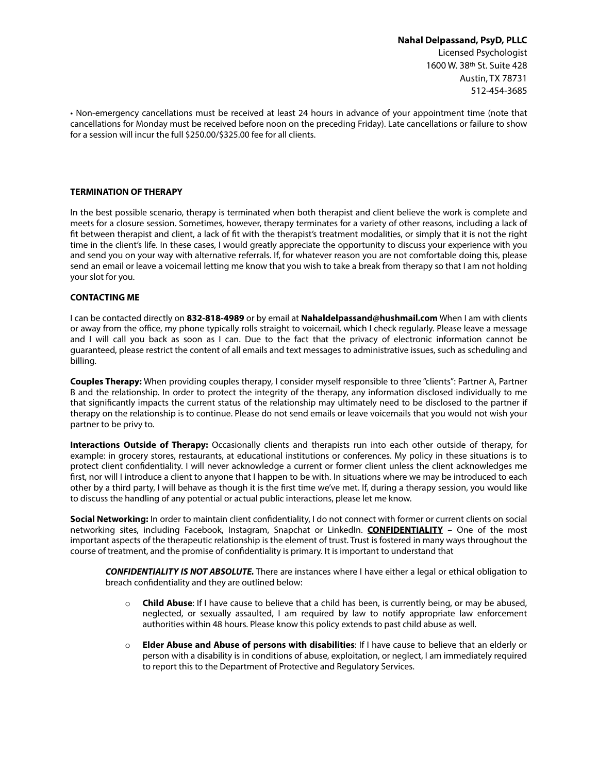# **Nahal Delpassand, PsyD, PLLC**  Licensed Psychologist 1600 W. 38th St. Suite 428 Austin, TX 78731 512-454-3685

• Non-emergency cancellations must be received at least 24 hours in advance of your appointment time (note that cancellations for Monday must be received before noon on the preceding Friday). Late cancellations or failure to show for a session will incur the full \$250.00/\$325.00 fee for all clients.

#### **TERMINATION OF THERAPY**

In the best possible scenario, therapy is terminated when both therapist and client believe the work is complete and meets for a closure session. Sometimes, however, therapy terminates for a variety of other reasons, including a lack of ft between therapist and client, a lack of ft with the therapist's treatment modalities, or simply that it is not the right time in the client's life. In these cases, I would greatly appreciate the opportunity to discuss your experience with you and send you on your way with alternative referrals. If, for whatever reason you are not comfortable doing this, please send an email or leave a voicemail letting me know that you wish to take a break from therapy so that I am not holding your slot for you.

#### **CONTACTING ME**

I can be contacted directly on **832-818-4989** or by email at **Nahaldelpassand@hushmail.com** When I am with clients or away from the office, my phone typically rolls straight to voicemail, which I check regularly. Please leave a message and I will call you back as soon as I can. Due to the fact that the privacy of electronic information cannot be guaranteed, please restrict the content of all emails and text messages to administrative issues, such as scheduling and billing.

**Couples Therapy:** When providing couples therapy, I consider myself responsible to three "clients": Partner A, Partner B and the relationship. In order to protect the integrity of the therapy, any information disclosed individually to me that signifcantly impacts the current status of the relationship may ultimately need to be disclosed to the partner if therapy on the relationship is to continue. Please do not send emails or leave voicemails that you would not wish your partner to be privy to.

**Interactions Outside of Therapy:** Occasionally clients and therapists run into each other outside of therapy, for example: in grocery stores, restaurants, at educational institutions or conferences. My policy in these situations is to protect client confdentiality. I will never acknowledge a current or former client unless the client acknowledges me first, nor will I introduce a client to anyone that I happen to be with. In situations where we may be introduced to each other by a third party, I will behave as though it is the frst time we've met. If, during a therapy session, you would like to discuss the handling of any potential or actual public interactions, please let me know.

**Social Networking:** In order to maintain client confdentiality, I do not connect with former or current clients on social networking sites, including Facebook, Instagram, Snapchat or LinkedIn. **CONFIDENTIALITY** – One of the most important aspects of the therapeutic relationship is the element of trust. Trust is fostered in many ways throughout the course of treatment, and the promise of confdentiality is primary. It is important to understand that

*CONFIDENTIALITY IS NOT ABSOLUTE.* There are instances where I have either a legal or ethical obligation to breach confdentiality and they are outlined below:

- o **Child Abuse**: If I have cause to believe that a child has been, is currently being, or may be abused, neglected, or sexually assaulted, I am required by law to notify appropriate law enforcement authorities within 48 hours. Please know this policy extends to past child abuse as well.
- o **Elder Abuse and Abuse of persons with disabilities**: If I have cause to believe that an elderly or person with a disability is in conditions of abuse, exploitation, or neglect, I am immediately required to report this to the Department of Protective and Regulatory Services.